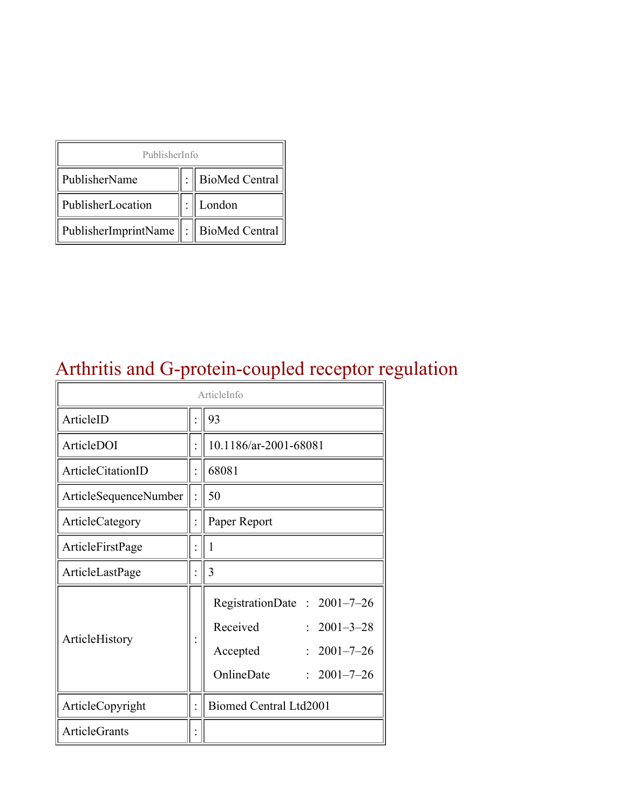| PublisherInfo                              |  |                  |  |  |
|--------------------------------------------|--|------------------|--|--|
| PublisherName                              |  | : BioMed Central |  |  |
| PublisherLocation                          |  | London           |  |  |
| PublisherImprintName   :    BioMed Central |  |                  |  |  |

# Arthritis and G-protein-coupled receptor regulation

| ArticleInfo           |  |                                                                                                                                           |  |
|-----------------------|--|-------------------------------------------------------------------------------------------------------------------------------------------|--|
| ArticleID             |  | 93                                                                                                                                        |  |
| ArticleDOI            |  | 10.1186/ar-2001-68081                                                                                                                     |  |
| ArticleCitationID     |  | 68081                                                                                                                                     |  |
| ArticleSequenceNumber |  | 50                                                                                                                                        |  |
| ArticleCategory       |  | Paper Report                                                                                                                              |  |
| ArticleFirstPage      |  | 1                                                                                                                                         |  |
| ArticleLastPage       |  | 3                                                                                                                                         |  |
| ArticleHistory        |  | RegistrationDate: 2001-7-26<br>Received<br>$2001 - 3 - 28$<br>$2001 - 7 - 26$<br>Accepted<br>OnlineDate<br>$2001 - 7 - 26$<br>$\bullet$ . |  |
| ArticleCopyright      |  | <b>Biomed Central Ltd2001</b>                                                                                                             |  |
| <b>ArticleGrants</b>  |  |                                                                                                                                           |  |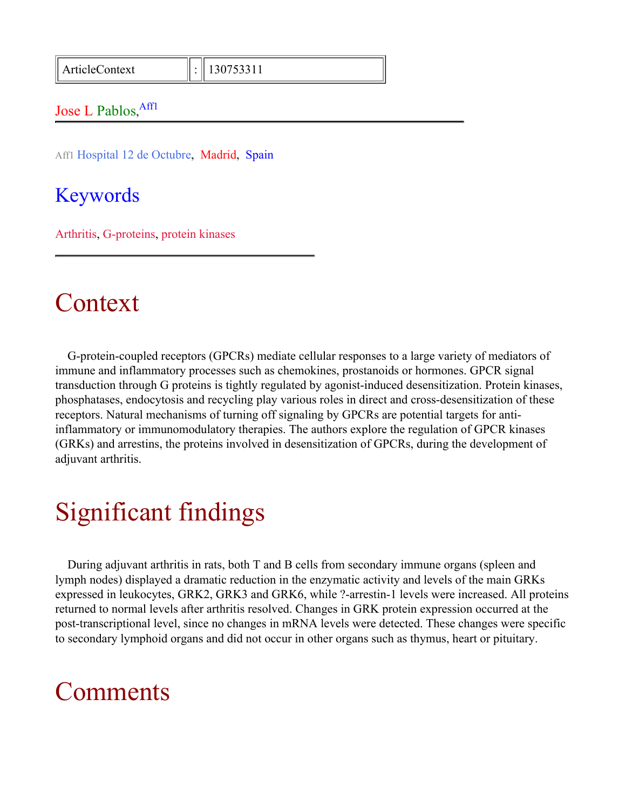#### Jose L Pablos, Affl

Aff1 Hospital 12 de Octubre, Madrid, Spain

#### Keywords

Arthritis, G-proteins, protein kinases

## Context

G-protein-coupled receptors (GPCRs) mediate cellular responses to a large variety of mediators of immune and inflammatory processes such as chemokines, prostanoids or hormones. GPCR signal transduction through G proteins is tightly regulated by agonist-induced desensitization. Protein kinases, phosphatases, endocytosis and recycling play various roles in direct and cross-desensitization of these receptors. Natural mechanisms of turning off signaling by GPCRs are potential targets for antiinflammatory or immunomodulatory therapies. The authors explore the regulation of GPCR kinases (GRKs) and arrestins, the proteins involved in desensitization of GPCRs, during the development of adjuvant arthritis.

# Significant findings

During adjuvant arthritis in rats, both T and B cells from secondary immune organs (spleen and lymph nodes) displayed a dramatic reduction in the enzymatic activity and levels of the main GRKs expressed in leukocytes, GRK2, GRK3 and GRK6, while ?-arrestin-1 levels were increased. All proteins returned to normal levels after arthritis resolved. Changes in GRK protein expression occurred at the post-transcriptional level, since no changes in mRNA levels were detected. These changes were specific to secondary lymphoid organs and did not occur in other organs such as thymus, heart or pituitary.

### **Comments**